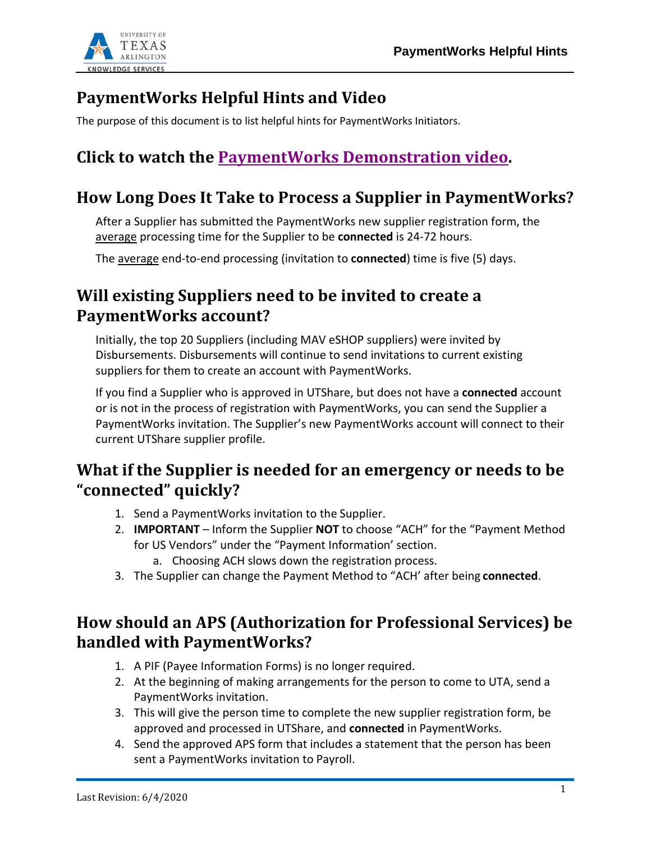

# **PaymentWorks Helpful Hints and Video**

The purpose of this document is to list helpful hints for PaymentWorks Initiators.

# **Click to watch the [PaymentWorks Demonstration video.](https://web.microsoftstream.com/video/3da7f343-490b-4b12-8afa-c4be44cdab0d)**

#### **How Long Does It Take to Process a Supplier in PaymentWorks?**

After a Supplier has submitted the PaymentWorks new supplier registration form, the average processing time for the Supplier to be **connected** is 24-72 hours.

The average end-to-end processing (invitation to **connected**) time is five (5) days.

## **Will existing Suppliers need to be invited to create a PaymentWorks account?**

Initially, the top 20 Suppliers (including MAV eSHOP suppliers) were invited by Disbursements. Disbursements will continue to send invitations to current existing suppliers for them to create an account with PaymentWorks.

If you find a Supplier who is approved in UTShare, but does not have a **connected** account or is not in the process of registration with PaymentWorks, you can send the Supplier a PaymentWorks invitation. The Supplier's new PaymentWorks account will connect to their current UTShare supplier profile.

#### **What if the Supplier is needed for an emergency or needs to be "connected" quickly?**

- 1. Send a PaymentWorks invitation to the Supplier.
- 2. **IMPORTANT**  Inform the Supplier **NOT** to choose "ACH" for the "Payment Method for US Vendors" under the "Payment Information' section.
	- a. Choosing ACH slows down the registration process.
- 3. The Supplier can change the Payment Method to "ACH' after being **connected**.

## **How should an APS (Authorization for Professional Services) be handled with PaymentWorks?**

- 1. A PIF (Payee Information Forms) is no longer required.
- 2. At the beginning of making arrangements for the person to come to UTA, send a PaymentWorks invitation.
- 3. This will give the person time to complete the new supplier registration form, be approved and processed in UTShare, and **connected** in PaymentWorks.
- 4. Send the approved APS form that includes a statement that the person has been sent a PaymentWorks invitation to Payroll.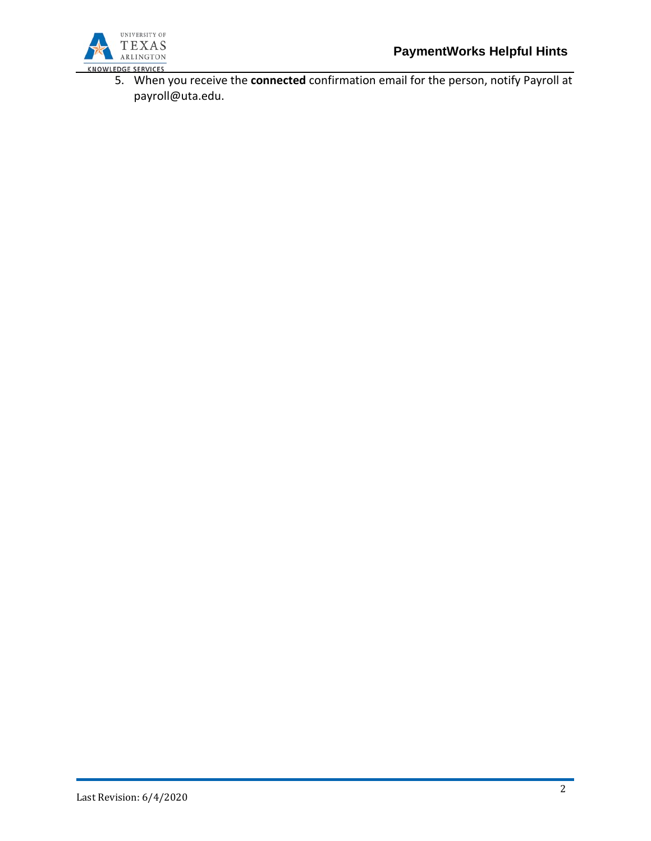

5. When you receive the **connected** confirmation email for the person, notify Payroll a[t](mailto:payroll@uta.edu) [payroll@uta.edu.](mailto:payroll@uta.edu)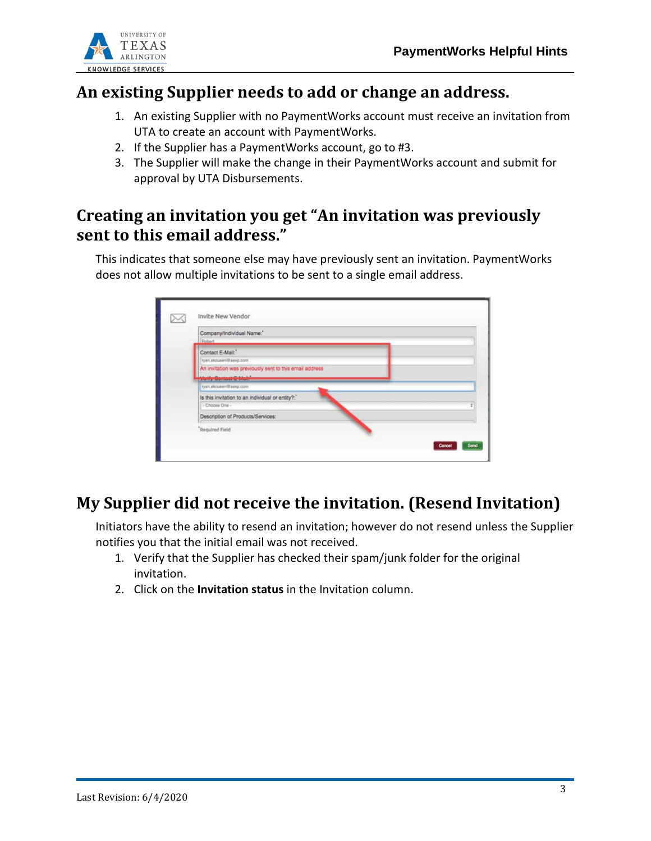

#### **An existing Supplier needs to add or change an address.**

- 1. An existing Supplier with no PaymentWorks account must receive an invitation from UTA to create an account with PaymentWorks.
- 2. If the Supplier has a PaymentWorks account, go to #3.
- 3. The Supplier will make the change in their PaymentWorks account and submit for approval by UTA Disbursements.

## **Creating an invitation you get "An invitation was previously sent to this email address."**

This indicates that someone else may have previously sent an invitation. PaymentWorks does not allow multiple invitations to be sent to a single email address.

| Company/Individual Name:                                           |  |  |  |  |  |  |
|--------------------------------------------------------------------|--|--|--|--|--|--|
| Robert                                                             |  |  |  |  |  |  |
| Contact E-Mail:"<br>ryan.skousen@aexp.com                          |  |  |  |  |  |  |
| An invitation was previously sent to this email address            |  |  |  |  |  |  |
| Vorify Sentest E-Mail:                                             |  |  |  |  |  |  |
| ryan.skousen@aexp.com                                              |  |  |  |  |  |  |
| Is this invitation to an individual or entity?:"<br>- Choose One - |  |  |  |  |  |  |
| Description of Products/Services:                                  |  |  |  |  |  |  |
| Required Field                                                     |  |  |  |  |  |  |

## **My Supplier did not receive the invitation. (Resend Invitation)**

Initiators have the ability to resend an invitation; however do not resend unless the Supplier notifies you that the initial email was not received.

- 1. Verify that the Supplier has checked their spam/junk folder for the original invitation.
- 2. Click on the **Invitation status** in the Invitation column.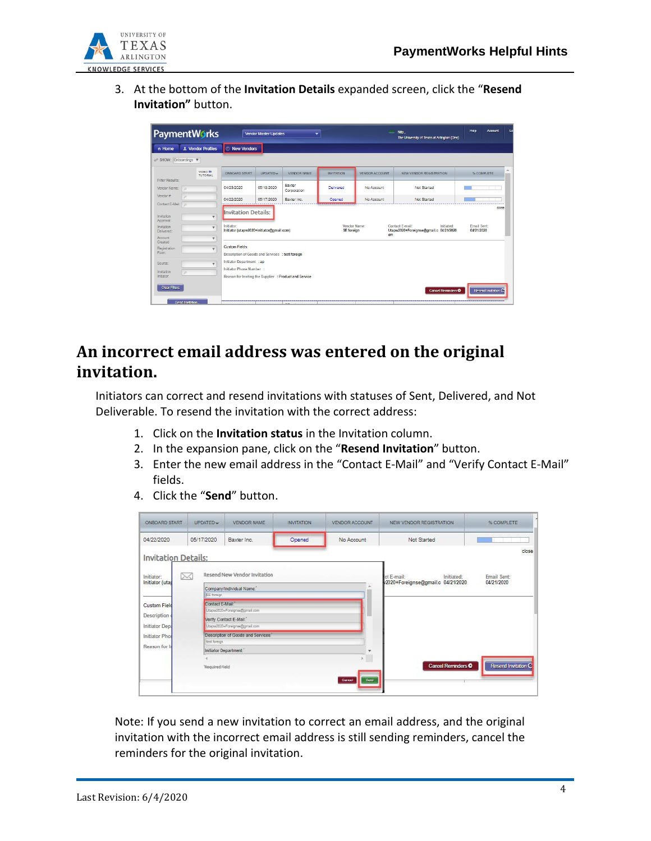

3. At the bottom of the **Invitation Details** expanded screen, click the "**Resend Invitation"** button.

| Help<br><b>PaymentWorks</b><br>$=$<br>Nita.<br><b>Vendor Master Updates</b><br>۰<br>The University of Texas at Arlington (Dev) |                                                                                                       |                                                                                   |                                                                                                                 |            |                       | Account<br>Lo     |                       |                                                                               |                                    |
|--------------------------------------------------------------------------------------------------------------------------------|-------------------------------------------------------------------------------------------------------|-----------------------------------------------------------------------------------|-----------------------------------------------------------------------------------------------------------------|------------|-----------------------|-------------------|-----------------------|-------------------------------------------------------------------------------|------------------------------------|
| n Home                                                                                                                         |                                                                                                       | <b>1</b> Vendor Profiles                                                          | <b>C</b> New Vendors                                                                                            |            |                       |                   |                       |                                                                               |                                    |
| o <sup>o</sup> SHOW: Onboardings $\mathbf v$                                                                                   |                                                                                                       |                                                                                   |                                                                                                                 |            |                       |                   |                       |                                                                               |                                    |
|                                                                                                                                |                                                                                                       | VIDEO IN<br><b>TUTORIAL</b>                                                       | ONBOARD START                                                                                                   | UPDATED ~  | VENDOR NAME           | <b>INVITATION</b> | <b>VENDOR ACCOUNT</b> | NEW VENDOR REGISTRATION                                                       | 人<br>% COMPLETE                    |
| Filter Results:<br>Vendor Name:                                                                                                | $\circ$                                                                                               |                                                                                   | 04/23/2020                                                                                                      | 05/18/2020 | Baxter<br>Corporation | Delivered         | No Account            | Not Started                                                                   |                                    |
| Vendor#:<br>Contact E-Mail:                                                                                                    | $\circ$<br>$\circ$                                                                                    |                                                                                   | 04/22/2020                                                                                                      | 05/17/2020 | Baxter Inc.           | Opened            | No Account            | Not Started                                                                   |                                    |
| Invitation<br>Approval:<br>Invitation<br>Delivered.<br>Account                                                                 |                                                                                                       | $\boldsymbol{\mathrm{v}}$<br>$\boldsymbol{\mathrm{v}}$<br>$\overline{\mathbf{v}}$ | <b>Invitation Details:</b><br>Initiator:<br>Initiator (utapw2020+initiator@gmail.com)                           |            |                       | SE foreign        | Vendor Name:          | Contact E-mail:<br>Initiated:<br>Utapw2020+Foreignse@gmail.c 04/21/2020<br>om | close<br>Email Sent:<br>04/21/2020 |
| Registration<br>Form:                                                                                                          | Created:<br><b>Custom Fields:</b><br>$\mathbf{v}$<br>Description of Goods and Services : test foreign |                                                                                   |                                                                                                                 |            |                       |                   |                       |                                                                               |                                    |
| Source:<br>Invitation<br>Initiator:                                                                                            | $\overline{a}$                                                                                        | $\overline{\mathbf{v}}$                                                           | Initiator Department : ap<br>Initiator Phone Number :<br>Reason for Inviting the Supplier : Product and Service |            |                       |                   |                       |                                                                               |                                    |
| <b>Clear Filters</b>                                                                                                           | Send Invitation                                                                                       |                                                                                   |                                                                                                                 |            |                       |                   |                       | <b>Cancel Reminders O</b>                                                     | Resend Invitation C                |

# **An incorrect email address was entered on the original invitation.**

Initiators can correct and resend invitations with statuses of Sent, Delivered, and Not Deliverable. To resend the invitation with the correct address:

- 1. Click on the **Invitation status** in the Invitation column.
- 2. In the expansion pane, click on the "**Resend Invitation**" button.
- 3. Enter the new email address in the "Contact E-Mail" and "Verify Contact E-Mail" fields.
- 4. Click the "**Send**" button.

| ONBOARD START                      | <b>UPDATED W</b>                                | VENDOR NAME                                              | <b>INVITATION</b> | VENDOR ACCOUNT | NEW VENDOR REGISTRATION.                                                                   | % COMPLETE          |  |  |
|------------------------------------|-------------------------------------------------|----------------------------------------------------------|-------------------|----------------|--------------------------------------------------------------------------------------------|---------------------|--|--|
| 04/22/2020                         | 05/17/2020                                      | Baxter Inc.                                              | Opened            | No Account     | Not Started                                                                                |                     |  |  |
| <b>Invitation Details:</b>         |                                                 |                                                          |                   |                |                                                                                            | close               |  |  |
| Initiator:<br>⋉<br>Initiator (utas |                                                 | Resend New Vendor Invitation                             |                   |                | Email Sent:<br>ct E-mail:<br>Initiated:<br>2020+Foreignse@gmail.c 04/21/2020<br>04/21/2020 |                     |  |  |
|                                    | Company/Individual Name."<br><b>ISE foreign</b> |                                                          |                   |                |                                                                                            |                     |  |  |
| <b>Custom Field</b>                | Contact E-Mail:                                 | Litapv2020+Foreignse@pmail.com                           |                   |                |                                                                                            |                     |  |  |
| Description<br>Initiator Depa      |                                                 | Verify Contact E-Mail:<br>Litape2020+Foreignse@gmail.com |                   |                |                                                                                            |                     |  |  |
| <b>Initiator Phon</b>              | test foreign                                    | Description of Goods and Services."                      |                   |                |                                                                                            |                     |  |  |
| Reason for In                      |                                                 | Initiator Department."                                   |                   | w              |                                                                                            |                     |  |  |
|                                    | "Required Field                                 |                                                          |                   | Send<br>Cancel | Cancel Reminders <sup>O</sup>                                                              | Resend Invitation C |  |  |

Note: If you send a new invitation to correct an email address, and the original invitation with the incorrect email address is still sending reminders, cancel the reminders for the original invitation.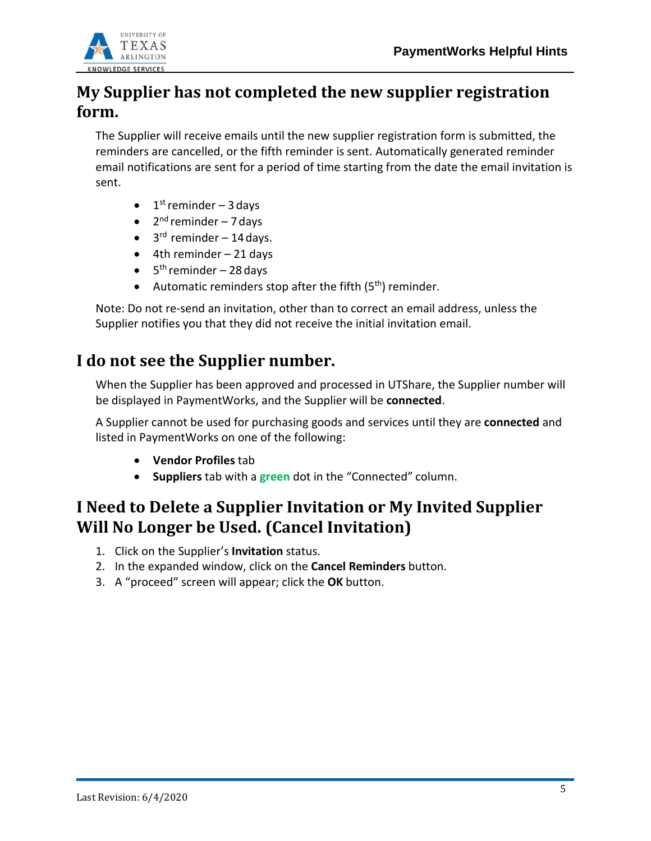

### **My Supplier has not completed the new supplier registration form.**

The Supplier will receive emails until the new supplier registration form is submitted, the reminders are cancelled, or the fifth reminder is sent. Automatically generated reminder email notifications are sent for a period of time starting from the date the email invitation is sent.

- $\bullet$  1<sup>st</sup> reminder 3 days
- $2<sup>nd</sup>$  reminder 7 days
- $\bullet$  3<sup>rd</sup> reminder 14 days.
- $\bullet$  4th reminder 21 days
- $\bullet$  5<sup>th</sup> reminder 28 days
- Automatic reminders stop after the fifth  $(5<sup>th</sup>)$  reminder.

Note: Do not re-send an invitation, other than to correct an email address, unless the Supplier notifies you that they did not receive the initial invitation email.

#### **I do not see the Supplier number.**

When the Supplier has been approved and processed in UTShare, the Supplier number will be displayed in PaymentWorks, and the Supplier will be **connected**.

A Supplier cannot be used for purchasing goods and services until they are **connected** and listed in PaymentWorks on one of the following:

- **Vendor Profiles** tab
- **Suppliers** tab with a **green** dot in the "Connected" column.

## **I Need to Delete a Supplier Invitation or My Invited Supplier Will No Longer be Used. (Cancel Invitation)**

- 1. Click on the Supplier's **Invitation** status.
- 2. In the expanded window, click on the **Cancel Reminders** button.
- 3. A "proceed" screen will appear; click the **OK** button.